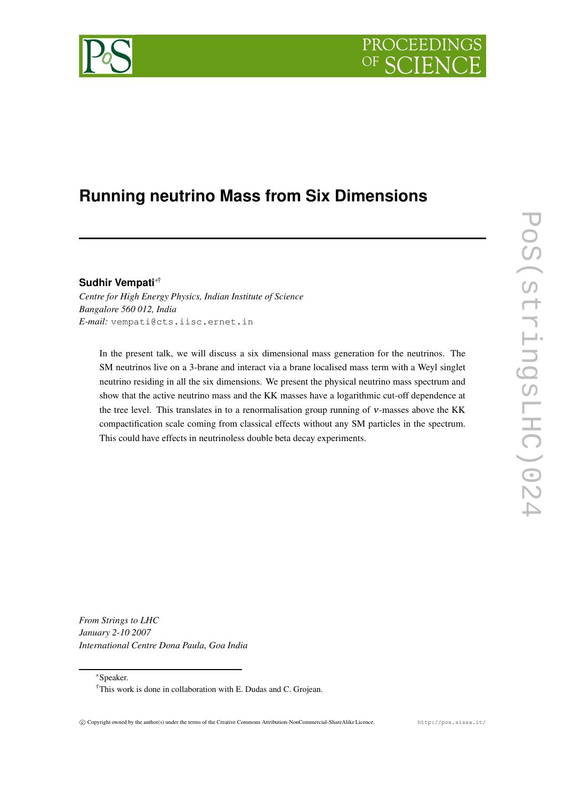# **PROCEEDING**



## **Running neutrino Mass from Six Dimensions**

### **Sudhir Vempati**∗†

*Centre for High Energy Physics, Indian Institute of Science Bangalore 560 012, India E-mail:* vempati@cts.iisc.ernet.in

In the present talk, we will discuss a six dimensional mass generation for the neutrinos. The SM neutrinos live on a 3-brane and interact via a brane localised mass term with a Weyl singlet neutrino residing in all the six dimensions. We present the physical neutrino mass spectrum and show that the active neutrino mass and the KK masses have a logarithmic cut-off dependence at the tree level. This translates in to a renormalisation group running of <sup>ν</sup>-masses above the KK compactification scale coming from classical effects without any SM particles in the spectrum. This could have effects in neutrinoless double beta decay experiments.

*From Strings to LHC January 2-10 2007 International Centre Dona Paula, Goa India*

∗Speaker.

<sup>†</sup>This work is done in collaboration with E. Dudas and C. Grojean.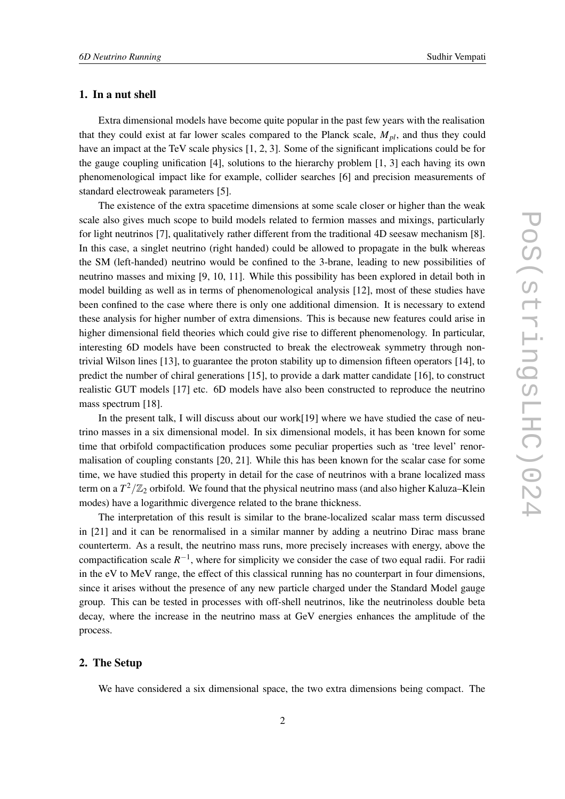#### **1. In a nut shell**

Extra dimensional models have become quite popular in the past few years with the realisation that they could exist at far lower scales compared to the Planck scale, *Mpl*, and thus they could have an impact at the TeV scale physics [1, 2, 3]. Some of the significant implications could be for the gauge coupling unification [4], solutions to the hierarchy problem [1, 3] each having its own phenomenological impact like for example, collider searches [6] and precision measurements of standard electroweak parameters [5].

The existence of the extra spacetime dimensions at some scale closer or higher than the weak scale also gives much scope to build models related to fermion masses and mixings, particularly for light neutrinos [7], qualitatively rather different from the traditional 4D seesaw mechanism [8]. In this case, a singlet neutrino (right handed) could be allowed to propagate in the bulk whereas the SM (left-handed) neutrino would be confined to the 3-brane, leading to new possibilities of neutrino masses and mixing [9, 10, 11]. While this possibility has been explored in detail both in model building as well as in terms of phenomenological analysis [12], most of these studies have been confined to the case where there is only one additional dimension. It is necessary to extend these analysis for higher number of extra dimensions. This is because new features could arise in higher dimensional field theories which could give rise to different phenomenology. In particular, interesting 6D models have been constructed to break the electroweak symmetry through nontrivial Wilson lines [13], to guarantee the proton stability up to dimension fifteen operators [14], to predict the number of chiral generations [15], to provide a dark matter candidate [16], to construct realistic GUT models [17] etc. 6D models have also been constructed to reproduce the neutrino mass spectrum [18].

In the present talk, I will discuss about our work[19] where we have studied the case of neutrino masses in a six dimensional model. In six dimensional models, it has been known for some time that orbifold compactification produces some peculiar properties such as 'tree level' renormalisation of coupling constants [20, 21]. While this has been known for the scalar case for some time, we have studied this property in detail for the case of neutrinos with a brane localized mass term on a  $T^2/\mathbb{Z}_2$  orbifold. We found that the physical neutrino mass (and also higher Kaluza–Klein modes) have a logarithmic divergence related to the brane thickness.

The interpretation of this result is similar to the brane-localized scalar mass term discussed in [21] and it can be renormalised in a similar manner by adding a neutrino Dirac mass brane counterterm. As a result, the neutrino mass runs, more precisely increases with energy, above the compactification scale  $R^{-1}$ , where for simplicity we consider the case of two equal radii. For radii in the eV to MeV range, the effect of this classical running has no counterpart in four dimensions, since it arises without the presence of any new particle charged under the Standard Model gauge group. This can be tested in processes with off-shell neutrinos, like the neutrinoless double beta decay, where the increase in the neutrino mass at GeV energies enhances the amplitude of the process.

#### **2. The Setup**

We have considered a six dimensional space, the two extra dimensions being compact. The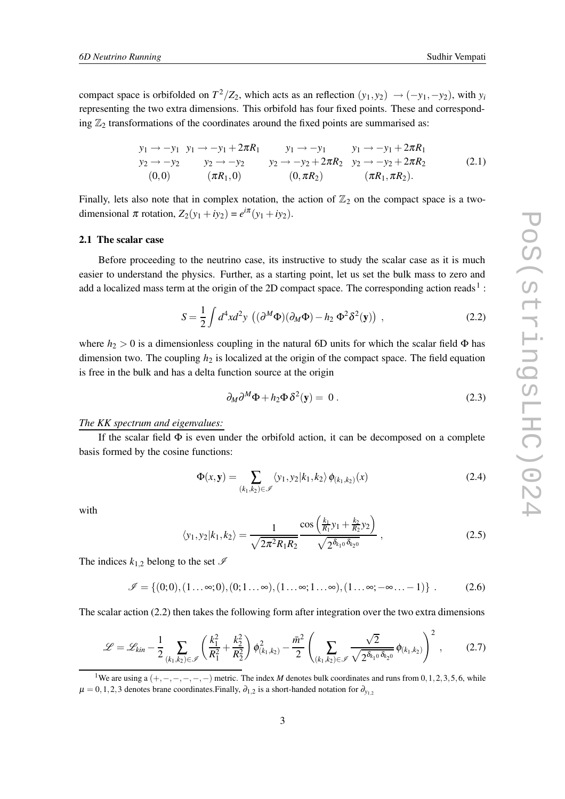compact space is orbifolded on  $T^2/Z_2$ , which acts as an reflection  $(y_1, y_2) \rightarrow (-y_1, -y_2)$ , with  $y_i$ representing the two extra dimensions. This orbifold has four fixed points. These and corresponding  $\mathbb{Z}_2$  transformations of the coordinates around the fixed points are summarised as:

$$
y_1 \to -y_1 \quad y_1 \to -y_1 + 2\pi R_1 \qquad y_1 \to -y_1 \qquad y_1 \to -y_1 + 2\pi R_1 \n y_2 \to -y_2 \qquad y_2 \to -y_2 \qquad y_2 \to -y_2 + 2\pi R_2 \qquad y_2 \to -y_2 + 2\pi R_2 \n (0,0) \qquad (\pi R_1, 0) \qquad (0, \pi R_2) \qquad (\pi R_1, \pi R_2).
$$
\n(2.1)

Finally, lets also note that in complex notation, the action of  $\mathbb{Z}_2$  on the compact space is a twodimensional  $\pi$  rotation,  $Z_2(y_1 + iy_2) = e^{i\pi}(y_1 + iy_2)$ .

#### **2.1 The scalar case**

Before proceeding to the neutrino case, its instructive to study the scalar case as it is much easier to understand the physics. Further, as a starting point, let us set the bulk mass to zero and add a localized mass term at the origin of the 2D compact space. The corresponding action reads<sup>1</sup>:

$$
S = \frac{1}{2} \int d^4x d^2y \, \left( (\partial^M \Phi)(\partial_M \Phi) - h_2 \, \Phi^2 \delta^2(\mathbf{y}) \right) , \tag{2.2}
$$

where  $h_2 > 0$  is a dimensionless coupling in the natural 6D units for which the scalar field  $\Phi$  has dimension two. The coupling  $h_2$  is localized at the origin of the compact space. The field equation is free in the bulk and has a delta function source at the origin

$$
\partial_M \partial^M \Phi + h_2 \Phi \delta^2(\mathbf{y}) = 0.
$$
 (2.3)

#### *The KK spectrum and eigenvalues:*

If the scalar field  $\Phi$  is even under the orbifold action, it can be decomposed on a complete basis formed by the cosine functions:

$$
\Phi(x, \mathbf{y}) = \sum_{(k_1, k_2) \in \mathcal{I}} \langle y_1, y_2 | k_1, k_2 \rangle \phi_{(k_1, k_2)}(x) \tag{2.4}
$$

with

$$
\langle y_1, y_2 | k_1, k_2 \rangle = \frac{1}{\sqrt{2\pi^2 R_1 R_2}} \frac{\cos\left(\frac{k_1}{R_1} y_1 + \frac{k_2}{R_2} y_2\right)}{\sqrt{2^{\delta_{k_1 0} \delta_{k_2 0}}}} \,, \tag{2.5}
$$

The indices  $k_{1,2}$  belong to the set  $\mathscr I$ 

$$
\mathscr{I} = \{(0,0), (1...\infty,0), (0,1...\infty), (1...\infty,1...\infty), (1...\infty, -\infty,...-1)\}.
$$
 (2.6)

The scalar action (2.2) then takes the following form after integration over the two extra dimensions

$$
\mathscr{L} = \mathscr{L}_{kin} - \frac{1}{2} \sum_{(k_1, k_2) \in \mathscr{I}} \left( \frac{k_1^2}{R_1^2} + \frac{k_2^2}{R_2^2} \right) \phi_{(k_1, k_2)}^2 - \frac{\bar{m}^2}{2} \left( \sum_{(k_1, k_2) \in \mathscr{I}} \frac{\sqrt{2}}{\sqrt{2^{\delta_{k_1 0} \delta_{k_2 0}}}} \phi_{(k_1, k_2)} \right)^2, \tag{2.7}
$$

<sup>1</sup>We are using <sup>a</sup> (+,−,−,−,−,−) metric. The index *<sup>M</sup>* denotes bulk coordinates and runs from <sup>0</sup>,1,2,3,5,6, while  $\mu = 0, 1, 2, 3$  denotes brane coordinates. Finally,  $\partial_{1,2}$  is a short-handed notation for  $\partial_{y_{1,2}}$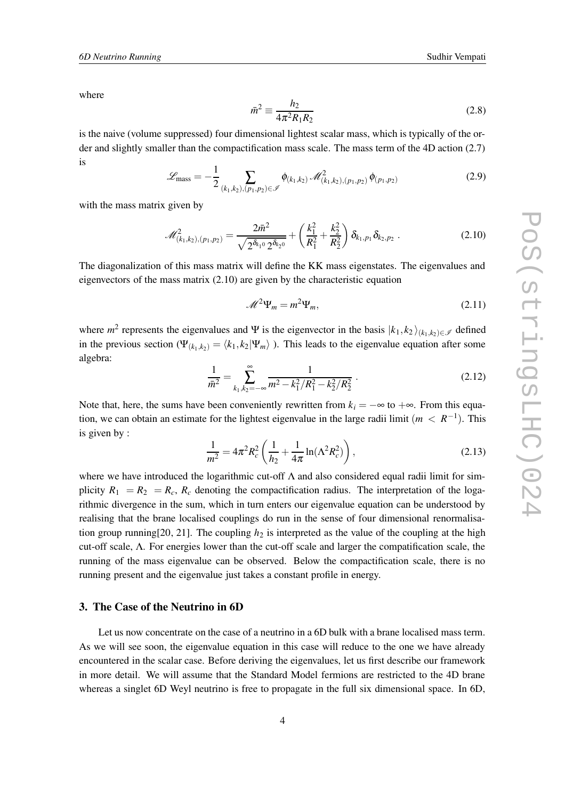where

$$
\bar{n}^2 \equiv \frac{h_2}{4\pi^2 R_1 R_2} \tag{2.8}
$$

is the naive (volume suppressed) four dimensional lightest scalar mass, which is typically of the order and slightly smaller than the compactification mass scale. The mass term of the 4D action (2.7) is

 $\mathbf{r}$ 

$$
\mathcal{L}_{\text{mass}} = -\frac{1}{2} \sum_{(k_1,k_2),(p_1,p_2)\in\mathscr{I}} \phi_{(k_1,k_2)} \mathscr{M}_{(k_1,k_2),(p_1,p_2)}^2 \phi_{(p_1,p_2)} \tag{2.9}
$$

with the mass matrix given by

$$
\mathscr{M}^2_{(k_1,k_2),(p_1,p_2)} = \frac{2\bar{m}^2}{\sqrt{2^{\delta_{k_1 0}} 2^{\delta_{k_2 0}}}} + \left(\frac{k_1^2}{R_1^2} + \frac{k_2^2}{R_2^2}\right) \delta_{k_1,p_1} \delta_{k_2,p_2} . \tag{2.10}
$$

The diagonalization of this mass matrix will define the KK mass eigenstates. The eigenvalues and eigenvectors of the mass matrix (2.10) are given by the characteristic equation

$$
\mathcal{M}^2 \Psi_m = m^2 \Psi_m,\tag{2.11}
$$

where  $m^2$  represents the eigenvalues and Ψ is the eigenvector in the basis  $|k_1, k_2\rangle_{(k_1,k_2)\in\mathscr{I}}$  defined in the previous section ( $\Psi_{(k_1,k_2)} = \langle k_1, k_2 | \Psi_m \rangle$ ). This leads to the eigenvalue equation after some algebra:

$$
\frac{1}{\bar{m}^2} = \sum_{k_1, k_2 = -\infty}^{\infty} \frac{1}{m^2 - k_1^2 / R_1^2 - k_2^2 / R_2^2} \,. \tag{2.12}
$$

Note that, here, the sums have been conveniently rewritten from  $k_i = -\infty$  to  $+\infty$ . From this equation, we can obtain an estimate for the lightest eigenvalue in the large radii limit  $(m < R^{-1})$ . This is given by :

$$
\frac{1}{m^2} = 4\pi^2 R_c^2 \left( \frac{1}{h_2} + \frac{1}{4\pi} \ln(\Lambda^2 R_c^2) \right),\tag{2.13}
$$

where we have introduced the logarithmic cut-off  $\Lambda$  and also considered equal radii limit for simplicity  $R_1 = R_2 = R_c$ ,  $R_c$  denoting the compactification radius. The interpretation of the logarithmic divergence in the sum, which in turn enters our eigenvalue equation can be understood by realising that the brane localised couplings do run in the sense of four dimensional renormalisation group running[20, 21]. The coupling  $h_2$  is interpreted as the value of the coupling at the high cut-off scale, Λ. For energies lower than the cut-off scale and larger the compatification scale, the running of the mass eigenvalue can be observed. Below the compactification scale, there is no running present and the eigenvalue just takes a constant profile in energy.

#### **3. The Case of the Neutrino in 6D**

Let us now concentrate on the case of a neutrino in a 6D bulk with a brane localised mass term. As we will see soon, the eigenvalue equation in this case will reduce to the one we have already encountered in the scalar case. Before deriving the eigenvalues, let us first describe our framework in more detail. We will assume that the Standard Model fermions are restricted to the 4D brane whereas a singlet 6D Weyl neutrino is free to propagate in the full six dimensional space. In 6D,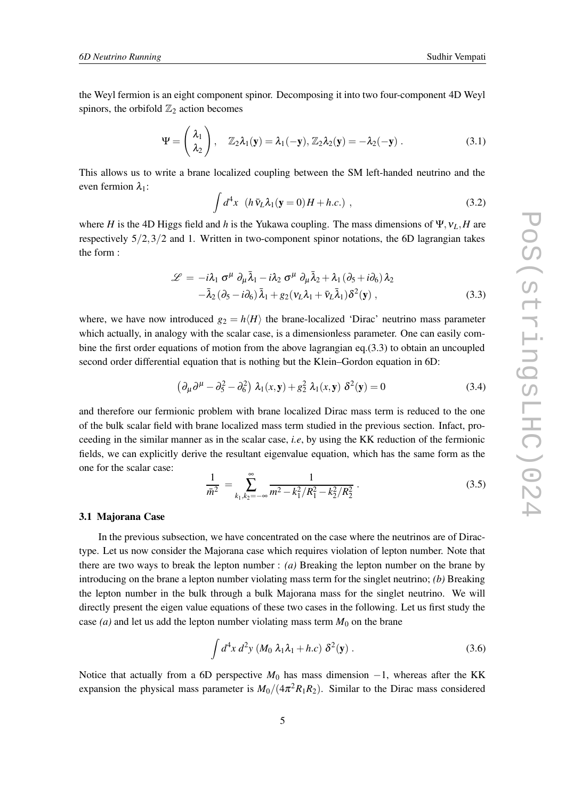the Weyl fermion is an eight component spinor. Decomposing it into two four-component 4D Weyl spinors, the orbifold  $\mathbb{Z}_2$  action becomes

$$
\Psi = \begin{pmatrix} \lambda_1 \\ \lambda_2 \end{pmatrix}, \quad \mathbb{Z}_2 \lambda_1(\mathbf{y}) = \lambda_1(-\mathbf{y}), \mathbb{Z}_2 \lambda_2(\mathbf{y}) = -\lambda_2(-\mathbf{y}). \tag{3.1}
$$

This allows us to write a brane localized coupling between the SM left-handed neutrino and the even fermion  $\lambda_1$ :

$$
\int d^4x \ \left( h \,\overline{v}_L \lambda_1(\mathbf{y} = 0) H + h.c. \right) \,, \tag{3.2}
$$

where *H* is the 4D Higgs field and *h* is the Yukawa coupling. The mass dimensions of  $\Psi$ ,  $v_L$ , *H* are respectively 5/2,3/2 and 1. Written in two-component spinor notations, the 6D lagrangian takes the form :

$$
\mathcal{L} = -i\lambda_1 \sigma^{\mu} \partial_{\mu} \bar{\lambda}_1 - i\lambda_2 \sigma^{\mu} \partial_{\mu} \bar{\lambda}_2 + \lambda_1 (\partial_5 + i\partial_6) \lambda_2 - \bar{\lambda}_2 (\partial_5 - i\partial_6) \bar{\lambda}_1 + g_2 (\nu_L \lambda_1 + \bar{\nu}_L \bar{\lambda}_1) \delta^2(\mathbf{y}),
$$
 (3.3)

where, we have now introduced  $g_2 = h\langle H \rangle$  the brane-localized 'Dirac' neutrino mass parameter which actually, in analogy with the scalar case, is a dimensionless parameter. One can easily combine the first order equations of motion from the above lagrangian eq.(3.3) to obtain an uncoupled second order differential equation that is nothing but the Klein–Gordon equation in 6D:

$$
\left(\partial_{\mu}\partial^{\mu}-\partial_{5}^{2}-\partial_{6}^{2}\right)\lambda_{1}(x,y)+g_{2}^{2}\lambda_{1}(x,y)\delta^{2}(y)=0
$$
\n(3.4)

and therefore our fermionic problem with brane localized Dirac mass term is reduced to the one of the bulk scalar field with brane localized mass term studied in the previous section. Infact, proceeding in the similar manner as in the scalar case, *i.e*, by using the KK reduction of the fermionic fields, we can explicitly derive the resultant eigenvalue equation, which has the same form as the one for the scalar case:

$$
\frac{1}{\bar{m}^2} = \sum_{k_1, k_2 = -\infty}^{\infty} \frac{1}{m^2 - k_1^2 / R_1^2 - k_2^2 / R_2^2} \,. \tag{3.5}
$$

#### **3.1 Majorana Case**

In the previous subsection, we have concentrated on the case where the neutrinos are of Diractype. Let us now consider the Majorana case which requires violation of lepton number. Note that there are two ways to break the lepton number : *(a)* Breaking the lepton number on the brane by introducing on the brane a lepton number violating mass term for the singlet neutrino; *(b)* Breaking the lepton number in the bulk through a bulk Majorana mass for the singlet neutrino. We will directly present the eigen value equations of these two cases in the following. Let us first study the case  $(a)$  and let us add the lepton number violating mass term  $M_0$  on the brane

$$
\int d^4x \, d^2y \left( M_0 \, \lambda_1 \lambda_1 + h.c \right) \, \delta^2(\mathbf{y}) \; . \tag{3.6}
$$

Notice that actually from a 6D perspective  $M_0$  has mass dimension  $-1$ , whereas after the KK expansion the physical mass parameter is  $M_0/(4\pi^2 R_1 R_2)$ . Similar to the Dirac mass considered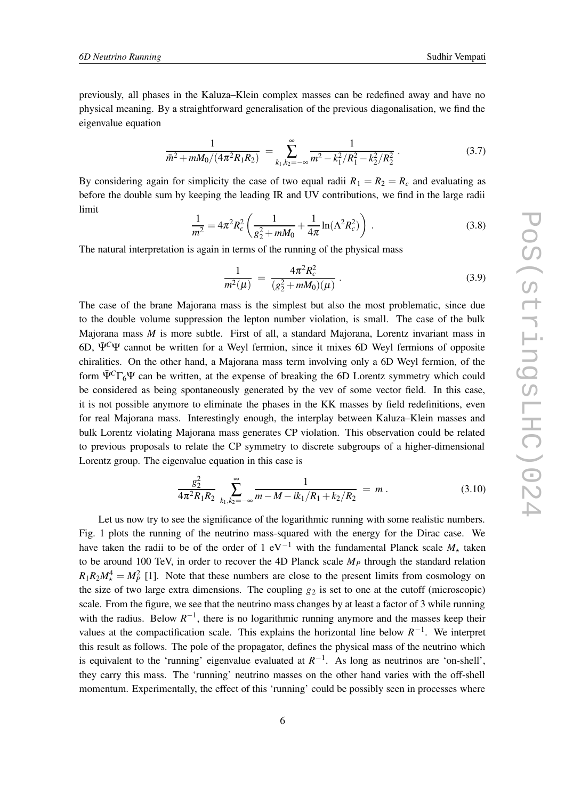previously, all phases in the Kaluza–Klein complex masses can be redefined away and have no physical meaning. By a straightforward generalisation of the previous diagonalisation, we find the eigenvalue equation

$$
\frac{1}{\bar{m}^2 + mM_0/(4\pi^2 R_1 R_2)} = \sum_{k_1, k_2 = -\infty}^{\infty} \frac{1}{m^2 - k_1^2/R_1^2 - k_2^2/R_2^2}.
$$
(3.7)

By considering again for simplicity the case of two equal radii  $R_1 = R_2 = R_c$  and evaluating as before the double sum by keeping the leading IR and UV contributions, we find in the large radii limit

$$
\frac{1}{m^2} = 4\pi^2 R_c^2 \left( \frac{1}{g_2^2 + mM_0} + \frac{1}{4\pi} \ln(\Lambda^2 R_c^2) \right) . \tag{3.8}
$$

The natural interpretation is again in terms of the running of the physical mass

$$
\frac{1}{m^2(\mu)} = \frac{4\pi^2 R_c^2}{(g_2^2 + mM_0)(\mu)}.
$$
\n(3.9)

The case of the brane Majorana mass is the simplest but also the most problematic, since due to the double volume suppression the lepton number violation, is small. The case of the bulk Majorana mass *M* is more subtle. First of all, a standard Majorana, Lorentz invariant mass in 6D, Ψ¯ *<sup>C</sup>*Ψ cannot be written for a Weyl fermion, since it mixes 6D Weyl fermions of opposite chiralities. On the other hand, a Majorana mass term involving only a 6D Weyl fermion, of the form  $\bar{\Psi}^C\Gamma_6\Psi$  can be written, at the expense of breaking the 6D Lorentz symmetry which could be considered as being spontaneously generated by the vev of some vector field. In this case, it is not possible anymore to eliminate the phases in the KK masses by field redefinitions, even for real Majorana mass. Interestingly enough, the interplay between Kaluza–Klein masses and bulk Lorentz violating Majorana mass generates CP violation. This observation could be related to previous proposals to relate the CP symmetry to discrete subgroups of a higher-dimensional Lorentz group. The eigenvalue equation in this case is

$$
\frac{g_2^2}{4\pi^2 R_1 R_2} \sum_{k_1,k_2=-\infty}^{\infty} \frac{1}{m - M - ik_1/R_1 + k_2/R_2} = m.
$$
 (3.10)

Let us now try to see the significance of the logarithmic running with some realistic numbers. Fig. 1 plots the running of the neutrino mass-squared with the energy for the Dirac case. We have taken the radii to be of the order of 1 eV<sup>-1</sup> with the fundamental Planck scale  $M_{\star}$  taken to be around 100 TeV, in order to recover the 4D Planck scale  $M<sub>P</sub>$  through the standard relation  $R_1R_2M_{\star}^4 = M_P^2$  [1]. Note that these numbers are close to the present limits from cosmology on the size of two large extra dimensions. The coupling  $g_2$  is set to one at the cutoff (microscopic) scale. From the figure, we see that the neutrino mass changes by at least a factor of 3 while running with the radius. Below  $R^{-1}$ , there is no logarithmic running anymore and the masses keep their values at the compactification scale. This explains the horizontal line below  $R^{-1}$ . We interpret this result as follows. The pole of the propagator, defines the physical mass of the neutrino which is equivalent to the 'running' eigenvalue evaluated at  $R^{-1}$ . As long as neutrinos are 'on-shell', they carry this mass. The 'running' neutrino masses on the other hand varies with the off-shell momentum. Experimentally, the effect of this 'running' could be possibly seen in processes where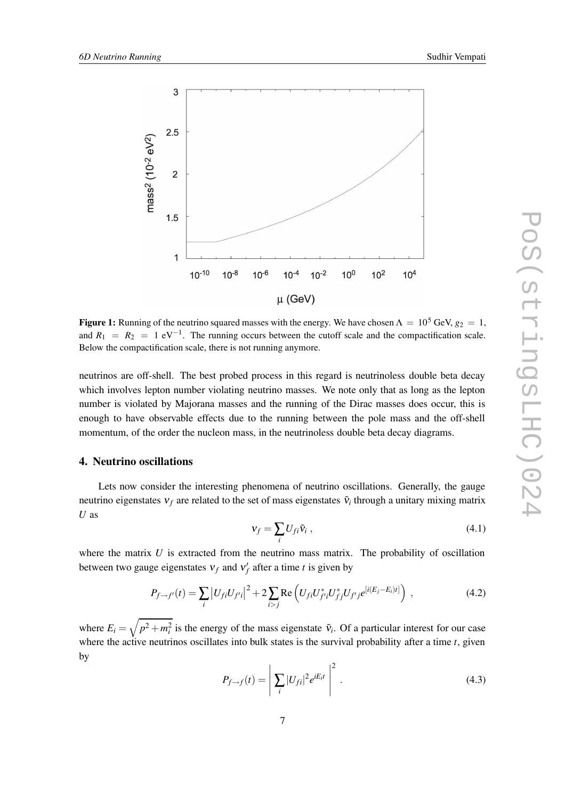

**Figure 1:** Running of the neutrino squared masses with the energy. We have chosen  $\Lambda = 10^5$  GeV,  $g_2 = 1$ , and  $R_1 = R_2 = 1 \text{ eV}^{-1}$ . The running occurs between the cutoff scale and the compactification scale. Below the compactification scale, there is not running anymore.

neutrinos are off-shell. The best probed process in this regard is neutrinoless double beta decay which involves lepton number violating neutrino masses. We note only that as long as the lepton number is violated by Majorana masses and the running of the Dirac masses does occur, this is enough to have observable effects due to the running between the pole mass and the off-shell momentum, of the order the nucleon mass, in the neutrinoless double beta decay diagrams.

#### **4. Neutrino oscillations**

Lets now consider the interesting phenomena of neutrino oscillations. Generally, the gauge neutrino eigenstates  $v_f$  are related to the set of mass eigenstates  $\tilde{v}_i$  through a unitary mixing matrix *U* as

$$
\mathbf{v}_f = \sum_i U_{fi} \tilde{\mathbf{v}}_i \,, \tag{4.1}
$$

where the matrix  $U$  is extracted from the neutrino mass matrix. The probability of oscillation between two gauge eigenstates  $v_f$  and  $v'_f$  after a time *t* is given by

$$
P_{f \to f'}(t) = \sum_{i} |U_{fi} U_{f'i}|^2 + 2 \sum_{i > j} \text{Re} \left( U_{fi} U_{f'i}^* U_{fj}^* U_{f'j} e^{[i(E_j - E_i)t]} \right) , \qquad (4.2)
$$

where  $E_i = \sqrt{p^2 + m_i^2}$  is the energy of the mass eigenstate  $\tilde{v}_i$ . Of a particular interest for our case where the active neutrinos oscillates into bulk states is the survival probability after a time *t*, given by

$$
P_{f \to f}(t) = \left| \sum_{i} |U_{fi}|^2 e^{iE_i t} \right|^2.
$$
\n(4.3)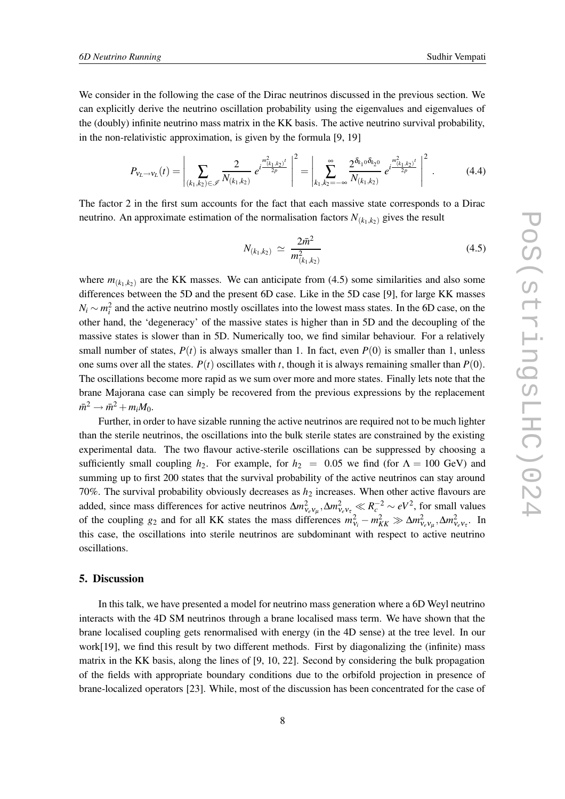We consider in the following the case of the Dirac neutrinos discussed in the previous section. We can explicitly derive the neutrino oscillation probability using the eigenvalues and eigenvalues of the (doubly) infinite neutrino mass matrix in the KK basis. The active neutrino survival probability, in the non-relativistic approximation, is given by the formula [9, 19]

$$
P_{v_L \to v_L}(t) = \left| \sum_{(k_1, k_2) \in \mathcal{I}} \frac{2}{N_{(k_1, k_2)}} e^{i \frac{m_{(k_1, k_2)}^2 t}{2p}} \right|^2 = \left| \sum_{k_1, k_2 = -\infty}^{\infty} \frac{2^{\delta_{k_1 0} \delta_{k_2 0}}}{N_{(k_1, k_2)}} e^{i \frac{m_{(k_1, k_2)}^2 t}{2p}} \right|^2.
$$
 (4.4)

The factor 2 in the first sum accounts for the fact that each massive state corresponds to a Dirac neutrino. An approximate estimation of the normalisation factors  $N_{(k_1,k_2)}$  gives the result

$$
N_{(k_1,k_2)} \simeq \frac{2\bar{m}^2}{m_{(k_1,k_2)}^2} \tag{4.5}
$$

where  $m_{(k_1,k_2)}$  are the KK masses. We can anticipate from (4.5) some similarities and also some differences between the 5D and the present 6D case. Like in the 5D case [9], for large KK masses  $N_i \sim m_i^2$  and the active neutrino mostly oscillates into the lowest mass states. In the 6D case, on the other hand, the 'degeneracy' of the massive states is higher than in 5D and the decoupling of the massive states is slower than in 5D. Numerically too, we find similar behaviour. For a relatively small number of states,  $P(t)$  is always smaller than 1. In fact, even  $P(0)$  is smaller than 1, unless one sums over all the states.  $P(t)$  oscillates with *t*, though it is always remaining smaller than  $P(0)$ . The oscillations become more rapid as we sum over more and more states. Finally lets note that the brane Majorana case can simply be recovered from the previous expressions by the replacement  $m^2 \rightarrow m^2 + m_i M_0.$ 

Further, in order to have sizable running the active neutrinos are required not to be much lighter than the sterile neutrinos, the oscillations into the bulk sterile states are constrained by the existing experimental data. The two flavour active-sterile oscillations can be suppressed by choosing a sufficiently small coupling  $h_2$ . For example, for  $h_2 = 0.05$  we find (for  $\Lambda = 100$  GeV) and summing up to first 200 states that the survival probability of the active neutrinos can stay around 70%. The survival probability obviously decreases as  $h<sub>2</sub>$  increases. When other active flavours are added, since mass differences for active neutrinos  $\Delta m_{v_e v_\mu}^2$ ,  $\Delta m_{v_e v_\tau}^2 \ll R_c^{-2} \sim eV^2$ , for small values of the coupling *g*<sub>2</sub> and for all KK states the mass differences  $m_{\nu_i}^2 - m_{KK}^2 \gg \Delta m_{\nu_e \nu_\mu}^2, \Delta m_{\nu_e \nu_\tau}^2$ . In this case, the oscillations into sterile neutrinos are subdominant with respect to active neutrino oscillations.

#### **5. Discussion**

In this talk, we have presented a model for neutrino mass generation where a 6D Weyl neutrino interacts with the 4D SM neutrinos through a brane localised mass term. We have shown that the brane localised coupling gets renormalised with energy (in the 4D sense) at the tree level. In our work[19], we find this result by two different methods. First by diagonalizing the (infinite) mass matrix in the KK basis, along the lines of [9, 10, 22]. Second by considering the bulk propagation of the fields with appropriate boundary conditions due to the orbifold projection in presence of brane-localized operators [23]. While, most of the discussion has been concentrated for the case of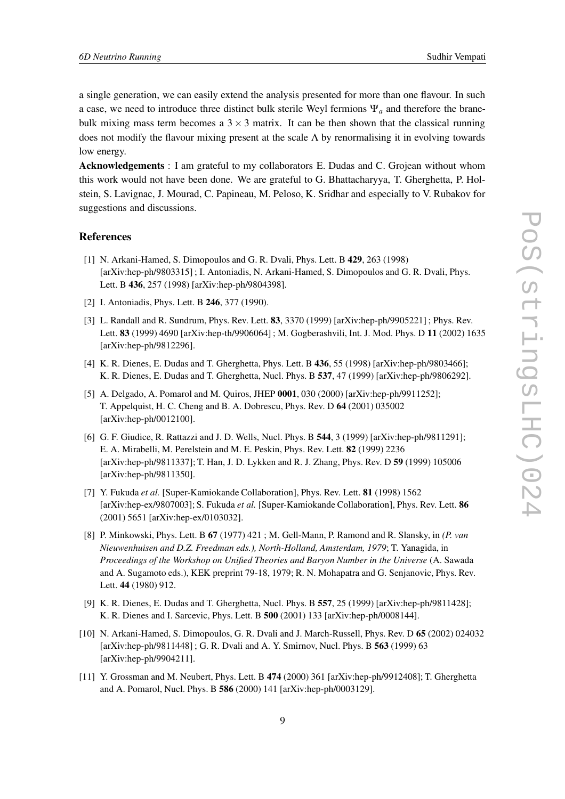a single generation, we can easily extend the analysis presented for more than one flavour. In such a case, we need to introduce three distinct bulk sterile Weyl fermions Ψ*<sup>a</sup>* and therefore the branebulk mixing mass term becomes a  $3 \times 3$  matrix. It can be then shown that the classical running does not modify the flavour mixing present at the scale  $\Lambda$  by renormalising it in evolving towards low energy.

**Acknowledgements** : I am grateful to my collaborators E. Dudas and C. Grojean without whom this work would not have been done. We are grateful to G. Bhattacharyya, T. Gherghetta, P. Holstein, S. Lavignac, J. Mourad, C. Papineau, M. Peloso, K. Sridhar and especially to V. Rubakov for suggestions and discussions.

#### **References**

- [1] N. Arkani-Hamed, S. Dimopoulos and G. R. Dvali, Phys. Lett. B **429**, 263 (1998) [arXiv:hep-ph/9803315] ; I. Antoniadis, N. Arkani-Hamed, S. Dimopoulos and G. R. Dvali, Phys. Lett. B **436**, 257 (1998) [arXiv:hep-ph/9804398].
- [2] I. Antoniadis, Phys. Lett. B **246**, 377 (1990).
- [3] L. Randall and R. Sundrum, Phys. Rev. Lett. **83**, 3370 (1999) [arXiv:hep-ph/9905221] ; Phys. Rev. Lett. **83** (1999) 4690 [arXiv:hep-th/9906064] ; M. Gogberashvili, Int. J. Mod. Phys. D **11** (2002) 1635 [arXiv:hep-ph/9812296].
- [4] K. R. Dienes, E. Dudas and T. Gherghetta, Phys. Lett. B **436**, 55 (1998) [arXiv:hep-ph/9803466]; K. R. Dienes, E. Dudas and T. Gherghetta, Nucl. Phys. B **537**, 47 (1999) [arXiv:hep-ph/9806292].
- [5] A. Delgado, A. Pomarol and M. Quiros, JHEP **0001**, 030 (2000) [arXiv:hep-ph/9911252]; T. Appelquist, H. C. Cheng and B. A. Dobrescu, Phys. Rev. D **64** (2001) 035002 [arXiv:hep-ph/0012100].
- [6] G. F. Giudice, R. Rattazzi and J. D. Wells, Nucl. Phys. B **544**, 3 (1999) [arXiv:hep-ph/9811291]; E. A. Mirabelli, M. Perelstein and M. E. Peskin, Phys. Rev. Lett. **82** (1999) 2236 [arXiv:hep-ph/9811337]; T. Han, J. D. Lykken and R. J. Zhang, Phys. Rev. D **59** (1999) 105006 [arXiv:hep-ph/9811350].
- [7] Y. Fukuda *et al.* [Super-Kamiokande Collaboration], Phys. Rev. Lett. **81** (1998) 1562 [arXiv:hep-ex/9807003]; S. Fukuda *et al.* [Super-Kamiokande Collaboration], Phys. Rev. Lett. **86** (2001) 5651 [arXiv:hep-ex/0103032].
- [8] P. Minkowski, Phys. Lett. B **67** (1977) 421 ; M. Gell-Mann, P. Ramond and R. Slansky, in *(P. van Nieuwenhuisen and D.Z. Freedman eds.), North-Holland, Amsterdam, 1979*; T. Yanagida, in *Proceedings of the Workshop on Unified Theories and Baryon Number in the Universe* (A. Sawada and A. Sugamoto eds.), KEK preprint 79-18, 1979; R. N. Mohapatra and G. Senjanovic, Phys. Rev. Lett. **44** (1980) 912.
- [9] K. R. Dienes, E. Dudas and T. Gherghetta, Nucl. Phys. B **557**, 25 (1999) [arXiv:hep-ph/9811428]; K. R. Dienes and I. Sarcevic, Phys. Lett. B **500** (2001) 133 [arXiv:hep-ph/0008144].
- [10] N. Arkani-Hamed, S. Dimopoulos, G. R. Dvali and J. March-Russell, Phys. Rev. D **65** (2002) 024032 [arXiv:hep-ph/9811448] ; G. R. Dvali and A. Y. Smirnov, Nucl. Phys. B **563** (1999) 63 [arXiv:hep-ph/9904211].
- [11] Y. Grossman and M. Neubert, Phys. Lett. B **474** (2000) 361 [arXiv:hep-ph/9912408]; T. Gherghetta and A. Pomarol, Nucl. Phys. B **586** (2000) 141 [arXiv:hep-ph/0003129].